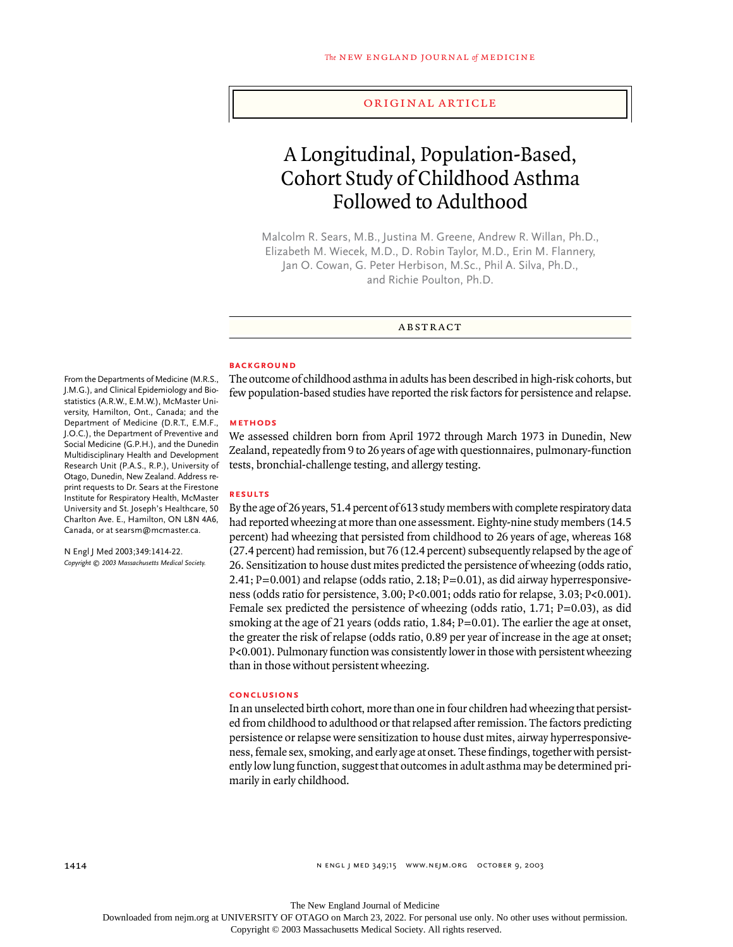## original article

# A Longitudinal, Population-Based, Cohort Study of Childhood Asthma Followed to Adulthood

Malcolm R. Sears, M.B., Justina M. Greene, Andrew R. Willan, Ph.D., Elizabeth M. Wiecek, M.D., D. Robin Taylor, M.D., Erin M. Flannery, Jan O. Cowan, G. Peter Herbison, M.Sc., Phil A. Silva, Ph.D., and Richie Poulton, Ph.D.

abstract

#### **BACKGROUND**

The outcome of childhood asthma in adults has been described in high-risk cohorts, but few population-based studies have reported the risk factors for persistence and relapse.

## **methods**

We assessed children born from April 1972 through March 1973 in Dunedin, New Zealand, repeatedly from 9 to 26 years of age with questionnaires, pulmonary-function tests, bronchial-challenge testing, and allergy testing.

## **results**

By the age of 26 years, 51.4 percent of 613 study members with complete respiratory data had reported wheezing at more than one assessment. Eighty-nine study members (14.5 percent) had wheezing that persisted from childhood to 26 years of age, whereas 168 (27.4 percent) had remission, but 76 (12.4 percent) subsequently relapsed by the age of 26. Sensitization to house dust mites predicted the persistence of wheezing (odds ratio, 2.41;  $P=0.001$ ) and relapse (odds ratio, 2.18;  $P=0.01$ ), as did airway hyperresponsiveness (odds ratio for persistence, 3.00; P<0.001; odds ratio for relapse, 3.03; P<0.001). Female sex predicted the persistence of wheezing (odds ratio,  $1.71$ ;  $P=0.03$ ), as did smoking at the age of 21 years (odds ratio, 1.84; P=0.01). The earlier the age at onset, the greater the risk of relapse (odds ratio, 0.89 per year of increase in the age at onset; P<0.001). Pulmonary function was consistently lower in those with persistent wheezing than in those without persistent wheezing.

# **conclusions**

In an unselected birth cohort, more than one in four children had wheezing that persisted from childhood to adulthood or that relapsed after remission. The factors predicting persistence or relapse were sensitization to house dust mites, airway hyperresponsiveness, female sex, smoking, and early age at onset. These findings, together with persistently low lung function, suggest that outcomes in adult asthma may be determined primarily in early childhood.

From the Departments of Medicine (M.R.S., J.M.G.), and Clinical Epidemiology and Biostatistics (A.R.W., E.M.W.), McMaster University, Hamilton, Ont., Canada; and the Department of Medicine (D.R.T., E.M.F., J.O.C.), the Department of Preventive and Social Medicine (G.P.H.), and the Dunedin Multidisciplinary Health and Development Research Unit (P.A.S., R.P.), University of Otago, Dunedin, New Zealand. Address reprint requests to Dr. Sears at the Firestone Institute for Respiratory Health, McMaster University and St. Joseph's Healthcare, 50 Charlton Ave. E., Hamilton, ON L8N 4A6, Canada, or at searsm@mcmaster.ca.

N Engl J Med 2003;349:1414-22. *Copyright © 2003 Massachusetts Medical Society.*

The New England Journal of Medicine

Downloaded from nejm.org at UNIVERSITY OF OTAGO on March 23, 2022. For personal use only. No other uses without permission.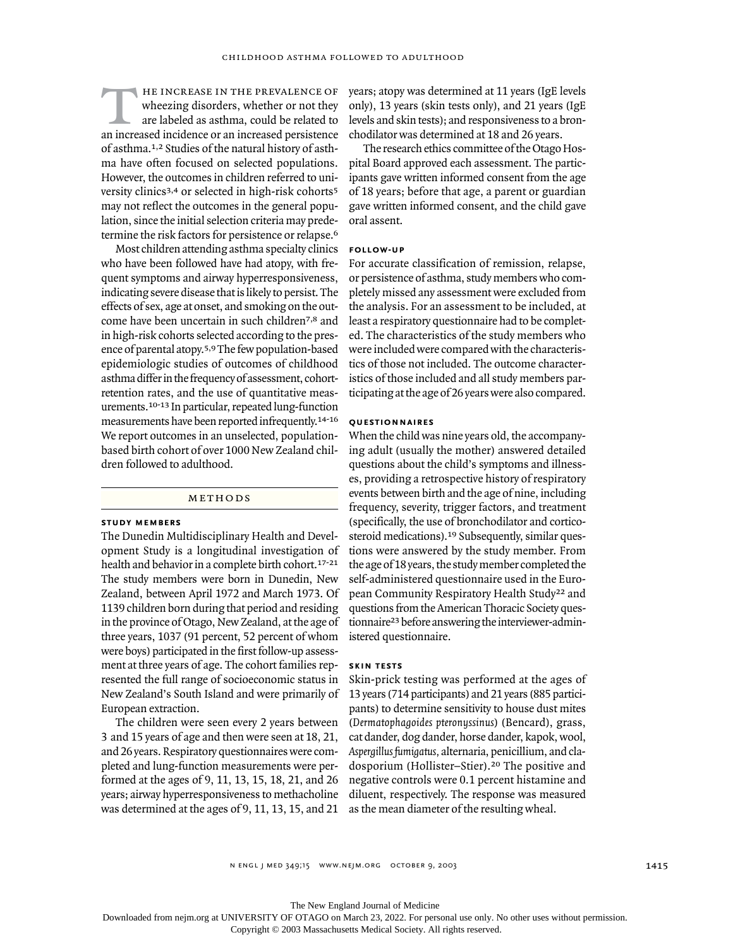he increase in the prevalence of wheezing disorders, whether or not they are labeled as asthma, could be related to an increased incidence or an increased persistence of asthma.1,2 Studies of the natural history of asthma have often focused on selected populations. However, the outcomes in children referred to university clinics<sup>3,4</sup> or selected in high-risk cohorts<sup>5</sup> may not reflect the outcomes in the general population, since the initial selection criteria may predetermine the risk factors for persistence or relapse.<sup>6</sup>  $\overline{T}$ 

Most children attending asthma specialty clinics who have been followed have had atopy, with frequent symptoms and airway hyperresponsiveness, indicating severe disease that is likely to persist. The effects of sex, age at onset, and smoking on the outcome have been uncertain in such children7,8 and in high-risk cohorts selected according to the presence of parental atopy.5,9 The few population-based epidemiologic studies of outcomes of childhood asthma differ in the frequency of assessment, cohortretention rates, and the use of quantitative measurements.10-13 In particular, repeated lung-function measurements have been reported infrequently.14-16 We report outcomes in an unselected, populationbased birth cohort of over 1000 New Zealand children followed to adulthood.

## methods

### **study members**

The Dunedin Multidisciplinary Health and Development Study is a longitudinal investigation of health and behavior in a complete birth cohort.17-21 The study members were born in Dunedin, New Zealand, between April 1972 and March 1973. Of 1139 children born during that period and residing in the province of Otago, New Zealand, at the age of three years, 1037 (91 percent, 52 percent of whom were boys) participated in the first follow-up assessment at three years of age. The cohort families represented the full range of socioeconomic status in New Zealand's South Island and were primarily of European extraction.

The children were seen every 2 years between 3 and 15 years of age and then were seen at 18, 21, and 26 years. Respiratory questionnaires were completed and lung-function measurements were performed at the ages of 9, 11, 13, 15, 18, 21, and 26 years; airway hyperresponsiveness to methacholine was determined at the ages of 9, 11, 13, 15, and 21

years; atopy was determined at 11 years (IgE levels only), 13 years (skin tests only), and 21 years (IgE levels and skin tests); and responsiveness to a bronchodilator was determined at 18 and 26 years.

The research ethics committee of the Otago Hospital Board approved each assessment. The participants gave written informed consent from the age of 18 years; before that age, a parent or guardian gave written informed consent, and the child gave oral assent.

## **follow-up**

For accurate classification of remission, relapse, or persistence of asthma, study members who completely missed any assessment were excluded from the analysis. For an assessment to be included, at least a respiratory questionnaire had to be completed. The characteristics of the study members who were included were compared with the characteristics of those not included. The outcome characteristics of those included and all study members participating at the age of 26 years were also compared.

# **questionnaires**

When the child was nine years old, the accompanying adult (usually the mother) answered detailed questions about the child's symptoms and illnesses, providing a retrospective history of respiratory events between birth and the age of nine, including frequency, severity, trigger factors, and treatment (specifically, the use of bronchodilator and corticosteroid medications).<sup>19</sup> Subsequently, similar questions were answered by the study member. From the age of 18 years, the study member completed the self-administered questionnaire used in the European Community Respiratory Health Study22 and questions from the American Thoracic Society questionnaire23 before answering the interviewer-administered questionnaire.

# **skin tests**

Skin-prick testing was performed at the ages of 13 years (714 participants) and 21 years (885 participants) to determine sensitivity to house dust mites (*Dermatophagoides pteronyssinus*) (Bencard), grass, cat dander, dog dander, horse dander, kapok, wool, *Aspergillus fumigatus,* alternaria, penicillium, and cladosporium (Hollister–Stier).20 The positive and negative controls were 0.1 percent histamine and diluent, respectively. The response was measured as the mean diameter of the resulting wheal.

The New England Journal of Medicine

Downloaded from nejm.org at UNIVERSITY OF OTAGO on March 23, 2022. For personal use only. No other uses without permission.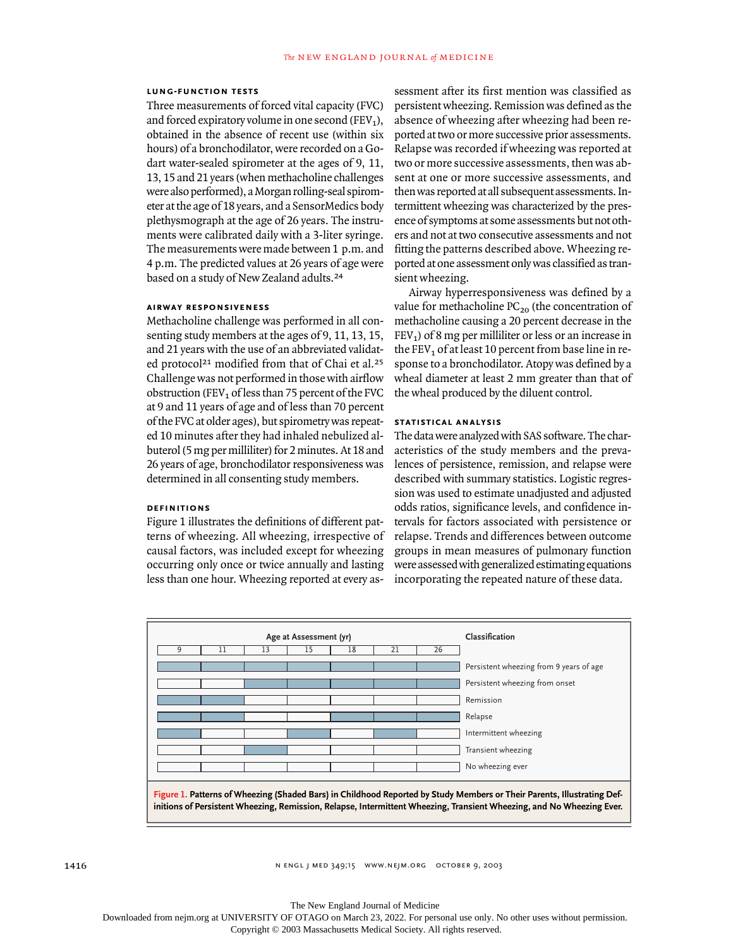#### **lung-function tests**

Three measurements of forced vital capacity (FVC) and forced expiratory volume in one second (FEV<sub>1</sub>), obtained in the absence of recent use (within six hours) of a bronchodilator, were recorded on a Godart water-sealed spirometer at the ages of 9, 11, 13, 15 and 21 years (when methacholine challenges were also performed), a Morgan rolling-seal spirometer at the age of 18 years, and a SensorMedics body plethysmograph at the age of 26 years. The instruments were calibrated daily with a 3-liter syringe. The measurements were made between 1 p.m. and 4 p.m. The predicted values at 26 years of age were based on a study of New Zealand adults.<sup>24</sup>

#### **airway responsiveness**

Methacholine challenge was performed in all consenting study members at the ages of 9, 11, 13, 15, and 21 years with the use of an abbreviated validated protocol<sup>21</sup> modified from that of Chai et al.<sup>25</sup> Challenge was not performed in those with airflow obstruction (FEV<sub>1</sub> of less than 75 percent of the FVC at 9 and 11 years of age and of less than 70 percent of the FVC at older ages), but spirometry was repeated 10 minutes after they had inhaled nebulized albuterol (5 mg per milliliter) for 2 minutes. At 18 and 26 years of age, bronchodilator responsiveness was determined in all consenting study members.

# **definitions**

Figure 1 illustrates the definitions of different patterns of wheezing. All wheezing, irrespective of causal factors, was included except for wheezing occurring only once or twice annually and lasting less than one hour. Wheezing reported at every as-

sessment after its first mention was classified as persistent wheezing. Remission was defined as the absence of wheezing after wheezing had been reported at two or more successive prior assessments. Relapse was recorded if wheezing was reported at two or more successive assessments, then was absent at one or more successive assessments, and then was reported at all subsequent assessments. Intermittent wheezing was characterized by the presence of symptoms at some assessments but not others and not at two consecutive assessments and not fitting the patterns described above. Wheezing reported at one assessment only was classified as transient wheezing.

Airway hyperresponsiveness was defined by a value for methacholine  $PC_{20}$  (the concentration of methacholine causing a 20 percent decrease in the  $FEV<sub>1</sub>$ ) of 8 mg per milliliter or less or an increase in the FEV<sub>1</sub> of at least 10 percent from base line in response to a bronchodilator. Atopy was defined by a wheal diameter at least 2 mm greater than that of the wheal produced by the diluent control.

## **statistical analysis**

The data were analyzed with SAS software. The characteristics of the study members and the prevalences of persistence, remission, and relapse were described with summary statistics. Logistic regression was used to estimate unadjusted and adjusted odds ratios, significance levels, and confidence intervals for factors associated with persistence or relapse. Trends and differences between outcome groups in mean measures of pulmonary function were assessed with generalized estimating equations incorporating the repeated nature of these data.

|          | Age at Assessment (yr) |    |    | Classification |    |                                                                                                                         |
|----------|------------------------|----|----|----------------|----|-------------------------------------------------------------------------------------------------------------------------|
| ٩<br>ו ו | 13                     | 15 | 18 | 21             | 26 |                                                                                                                         |
|          |                        |    |    |                |    | Persistent wheezing from 9 years of age                                                                                 |
|          |                        |    |    |                |    | Persistent wheezing from onset                                                                                          |
|          |                        |    |    |                |    | Remission                                                                                                               |
|          |                        |    |    |                |    | Relapse                                                                                                                 |
|          |                        |    |    |                |    | Intermittent wheezing                                                                                                   |
|          |                        |    |    |                |    | Transient wheezing                                                                                                      |
|          |                        |    |    |                |    | No wheezing ever                                                                                                        |
|          |                        |    |    |                |    | Figure 1. Patterns of Wheezing (Shaded Bars) in Childhood Reported by Study Members or Their Parents, Illustrating Def- |

The New England Journal of Medicine

Downloaded from nejm.org at UNIVERSITY OF OTAGO on March 23, 2022. For personal use only. No other uses without permission.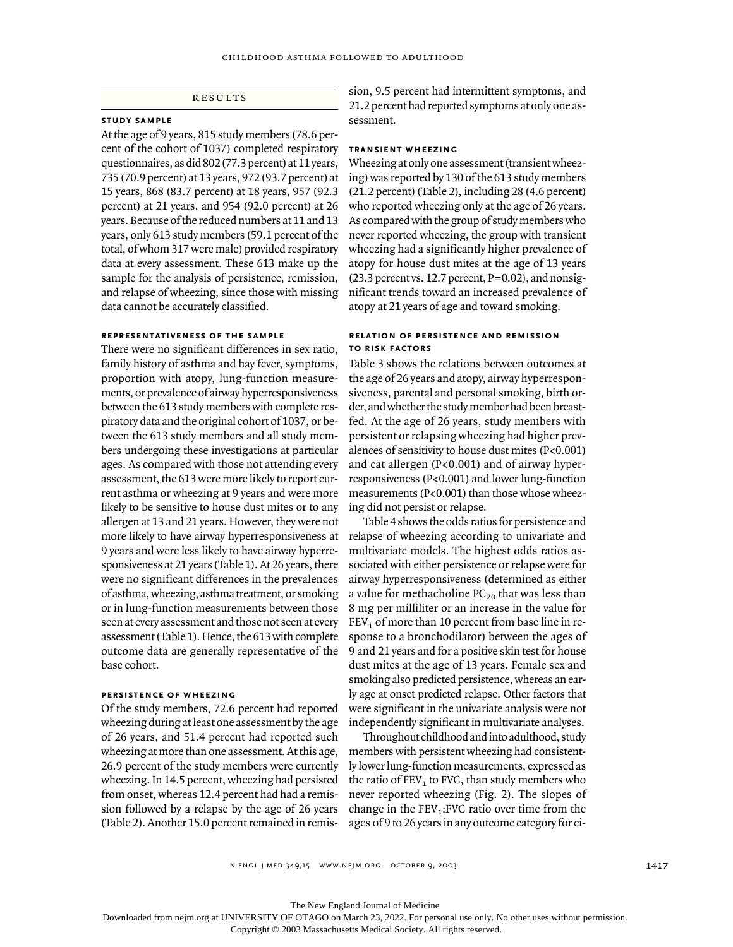# results

# **study sample**

At the age of 9 years, 815 study members (78.6 percent of the cohort of 1037) completed respiratory questionnaires, as did 802 (77.3 percent) at 11 years, 735 (70.9 percent) at 13 years, 972 (93.7 percent) at 15 years, 868 (83.7 percent) at 18 years, 957 (92.3 percent) at 21 years, and 954 (92.0 percent) at 26 years. Because of the reduced numbers at 11 and 13 years, only 613 study members (59.1 percent of the total, of whom 317 were male) provided respiratory data at every assessment. These 613 make up the sample for the analysis of persistence, remission, and relapse of wheezing, since those with missing data cannot be accurately classified.

## **representativeness of the sample**

There were no significant differences in sex ratio, family history of asthma and hay fever, symptoms, proportion with atopy, lung-function measurements, or prevalence of airway hyperresponsiveness between the 613 study members with complete respiratory data and the original cohort of 1037, or between the 613 study members and all study members undergoing these investigations at particular ages. As compared with those not attending every assessment, the 613 were more likely to report current asthma or wheezing at 9 years and were more likely to be sensitive to house dust mites or to any allergen at 13 and 21 years. However, they were not more likely to have airway hyperresponsiveness at 9 years and were less likely to have airway hyperresponsiveness at 21 years (Table 1). At 26 years, there were no significant differences in the prevalences of asthma, wheezing, asthma treatment, or smoking or in lung-function measurements between those seen at every assessment and those not seen at every assessment (Table 1). Hence, the 613 with complete outcome data are generally representative of the base cohort.

#### **persistence of wheezing**

Of the study members, 72.6 percent had reported wheezing during at least one assessment by the age of 26 years, and 51.4 percent had reported such wheezing at more than one assessment. At this age, 26.9 percent of the study members were currently wheezing. In 14.5 percent, wheezing had persisted from onset, whereas 12.4 percent had had a remission followed by a relapse by the age of 26 years (Table 2). Another 15.0 percent remained in remission, 9.5 percent had intermittent symptoms, and 21.2 percent had reported symptoms at only one assessment.

# **transient wheezing**

Wheezing at only one assessment (transient wheezing) was reported by 130 of the 613 study members (21.2 percent) (Table 2), including 28 (4.6 percent) who reported wheezing only at the age of 26 years. As compared with the group of study members who never reported wheezing, the group with transient wheezing had a significantly higher prevalence of atopy for house dust mites at the age of 13 years  $(23.3$  percent vs. 12.7 percent,  $P=0.02$ ), and nonsignificant trends toward an increased prevalence of atopy at 21 years of age and toward smoking.

## **relation of persistence and remissionto risk factors**

Table 3 shows the relations between outcomes at the age of 26 years and atopy, airway hyperresponsiveness, parental and personal smoking, birth order, and whether the study member had been breastfed. At the age of 26 years, study members with persistent or relapsing wheezing had higher prevalences of sensitivity to house dust mites (P<0.001) and cat allergen (P<0.001) and of airway hyperresponsiveness (P<0.001) and lower lung-function measurements (P<0.001) than those whose wheezing did not persist or relapse.

Table 4 shows the odds ratios for persistence and relapse of wheezing according to univariate and multivariate models. The highest odds ratios associated with either persistence or relapse were for airway hyperresponsiveness (determined as either a value for methacholine  $PC_{20}$  that was less than 8 mg per milliliter or an increase in the value for  $FEV<sub>1</sub>$  of more than 10 percent from base line in response to a bronchodilator) between the ages of 9 and 21 years and for a positive skin test for house dust mites at the age of 13 years. Female sex and smoking also predicted persistence, whereas an early age at onset predicted relapse. Other factors that were significant in the univariate analysis were not independently significant in multivariate analyses.

Throughout childhood and into adulthood, study members with persistent wheezing had consistently lower lung-function measurements, expressed as the ratio of  $FEV<sub>1</sub>$  to FVC, than study members who never reported wheezing (Fig. 2). The slopes of change in the  $FEV_1:FVC$  ratio over time from the ages of 9 to 26 years in any outcome category for ei-

n engl j med 349;15 www.nejm.org october 9, 2003

The New England Journal of Medicine

Downloaded from nejm.org at UNIVERSITY OF OTAGO on March 23, 2022. For personal use only. No other uses without permission.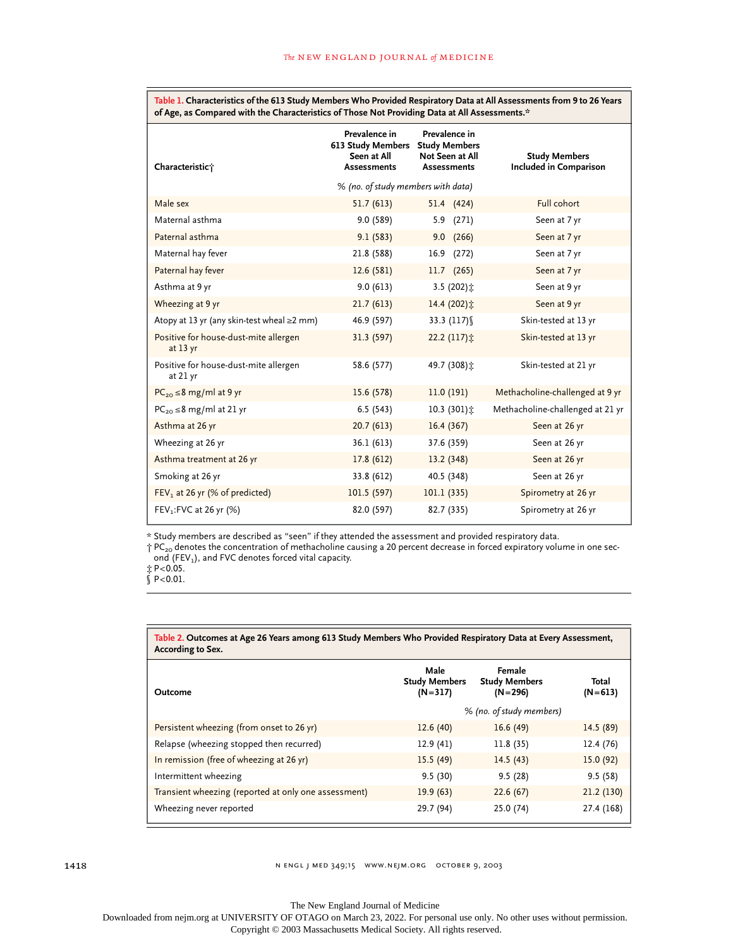**Table 1. Characteristics of the 613 Study Members Who Provided Respiratory Data at All Assessments from 9 to 26 Years of Age, as Compared with the Characteristics of Those Not Providing Data at All Assessments.\***

| Characteristic;                                     | Prevalence in<br>613 Study Members<br>Seen at All<br><b>Assessments</b> | Prevalence in<br><b>Study Members</b><br>Not Seen at All<br><b>Assessments</b> | <b>Study Members</b><br>Included in Comparison |  |
|-----------------------------------------------------|-------------------------------------------------------------------------|--------------------------------------------------------------------------------|------------------------------------------------|--|
|                                                     | % (no. of study members with data)                                      |                                                                                |                                                |  |
| Male sex                                            | 51.7(613)                                                               | 51.4 (424)                                                                     | Full cohort                                    |  |
| Maternal asthma                                     | 9.0(589)                                                                | 5.9 (271)                                                                      | Seen at 7 yr                                   |  |
| Paternal asthma                                     | 9.1(583)                                                                | $9.0$ $(266)$                                                                  | Seen at 7 yr                                   |  |
| Maternal hay fever                                  | 21.8 (588)                                                              | 16.9 (272)                                                                     | Seen at 7 yr                                   |  |
| Paternal hay fever                                  | 12.6(581)                                                               | $11.7$ (265)                                                                   | Seen at 7 yr                                   |  |
| Asthma at 9 yr                                      | 9.0(613)                                                                | 3.5 (202) $\ddagger$                                                           | Seen at 9 yr                                   |  |
| Wheezing at 9 yr                                    | 21.7(613)                                                               | 14.4(202)                                                                      | Seen at 9 yr                                   |  |
| Atopy at 13 yr (any skin-test wheal ≥2 mm)          | 46.9 (597)                                                              | 33.3 $(117)$                                                                   | Skin-tested at 13 yr                           |  |
| Positive for house-dust-mite allergen<br>at $13$ yr | 31.3 (597)                                                              | 22.2 (117) $\ddagger$                                                          | Skin-tested at 13 yr                           |  |
| Positive for house-dust-mite allergen<br>at 21 yr   | 58.6 (577)                                                              | 49.7 (308)士                                                                    | Skin-tested at 21 yr                           |  |
| $PC_{20} \leq 8$ mg/ml at 9 yr                      | 15.6(578)                                                               | 11.0(191)                                                                      | Methacholine-challenged at 9 yr                |  |
| $PC_{20} \leq 8$ mg/ml at 21 yr                     | 6.5(543)                                                                | $10.3(301)$ :                                                                  | Methacholine-challenged at 21 yr               |  |
| Asthma at 26 yr                                     | 20.7(613)                                                               | 16.4(367)                                                                      | Seen at 26 yr                                  |  |
| Wheezing at 26 yr                                   | 36.1 (613)                                                              | 37.6 (359)                                                                     | Seen at 26 yr                                  |  |
| Asthma treatment at 26 yr                           | 17.8(612)                                                               | 13.2(348)                                                                      | Seen at 26 yr                                  |  |
| Smoking at 26 yr                                    | 33.8 (612)                                                              | 40.5 (348)                                                                     | Seen at 26 yr                                  |  |
| FEV <sub>1</sub> at 26 yr (% of predicted)          | 101.5(597)                                                              | 101.1(335)                                                                     | Spirometry at 26 yr                            |  |
| FEV <sub>1</sub> : FVC at 26 yr (%)                 | 82.0 (597)                                                              | 82.7 (335)                                                                     | Spirometry at 26 yr                            |  |

\* Study members are described as "seen" if they attended the assessment and provided respiratory data.

 $\uparrow$  PC<sub>20</sub> denotes the concentration of methacholine causing a 20 percent decrease in forced expiratory volume in one second (FEV<sub>1</sub>), and FVC denotes forced vital capacity.

<sup>‡</sup> P<0.05. § P<0.01.

| Table 2. Outcomes at Age 26 Years among 613 Study Members Who Provided Respiratory Data at Every Assessment,<br>According to Sex. |                                           |                                               |                    |
|-----------------------------------------------------------------------------------------------------------------------------------|-------------------------------------------|-----------------------------------------------|--------------------|
| Outcome                                                                                                                           | Male<br><b>Study Members</b><br>$(N=317)$ | Female<br><b>Study Members</b><br>$(N = 296)$ | Total<br>$(N=613)$ |
|                                                                                                                                   |                                           | % (no. of study members)                      |                    |
| Persistent wheezing (from onset to 26 yr)                                                                                         | 12.6(40)                                  | 16.6(49)                                      | 14.5(89)           |
| Relapse (wheezing stopped then recurred)                                                                                          | 12.9(41)                                  | 11.8(35)                                      | 12.4 (76)          |
| In remission (free of wheezing at 26 yr)                                                                                          | 15.5(49)                                  | 14.5(43)                                      | 15.0(92)           |
| Intermittent wheezing                                                                                                             | 9.5(30)                                   | 9.5(28)                                       | 9.5(58)            |
| Transient wheezing (reported at only one assessment)                                                                              | 19.9(63)                                  | 22.6(67)                                      | 21.2(130)          |
| Wheezing never reported                                                                                                           | 29.7 (94)                                 | 25.0 (74)                                     | 27.4 (168)         |

The New England Journal of Medicine

Downloaded from nejm.org at UNIVERSITY OF OTAGO on March 23, 2022. For personal use only. No other uses without permission. Copyright © 2003 Massachusetts Medical Society. All rights reserved.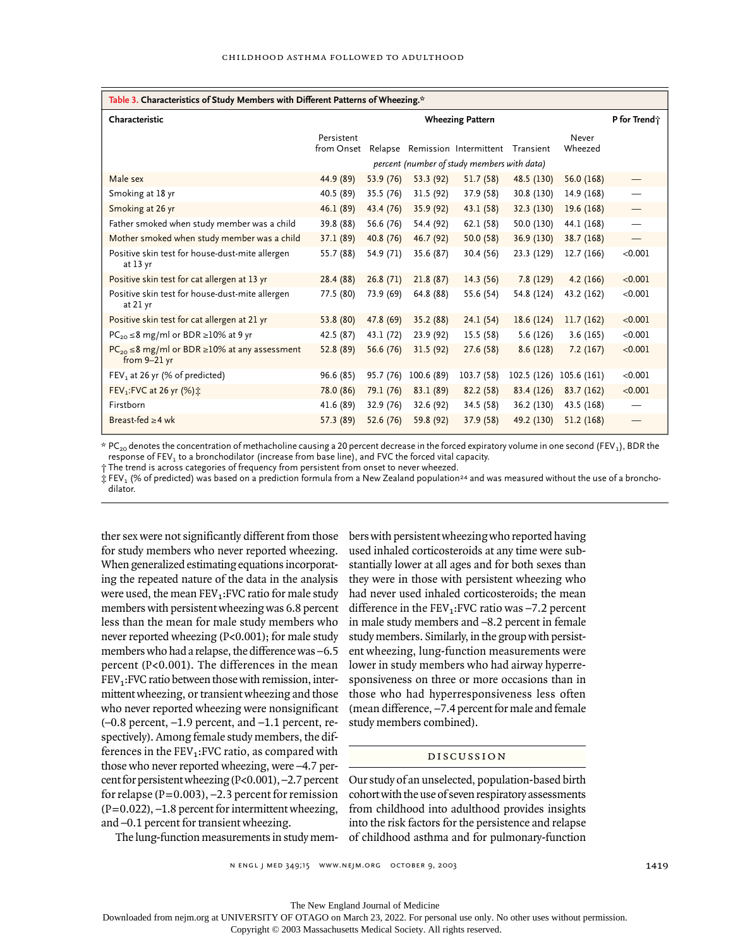| Table 3. Characteristics of Study Members with Different Patterns of Wheezing.* |                          |           |            |                                                                       |             |                  |                                 |
|---------------------------------------------------------------------------------|--------------------------|-----------|------------|-----------------------------------------------------------------------|-------------|------------------|---------------------------------|
| Characteristic                                                                  | <b>Wheezing Pattern</b>  |           |            |                                                                       |             | P for Trend;     |                                 |
|                                                                                 | Persistent<br>from Onset | Relapse   |            | Remission Intermittent<br>percent (number of study members with data) | Transient   | Never<br>Wheezed |                                 |
| Male sex                                                                        | 44.9 (89)                | 53.9 (76) | 53.3 (92)  | 51.7(58)                                                              | 48.5 (130)  | 56.0 (168)       |                                 |
| Smoking at 18 yr                                                                | 40.5 (89)                | 35.5 (76) | 31.5 (92)  | 37.9 (58)                                                             | 30.8 (130)  | 14.9 (168)       |                                 |
| Smoking at 26 yr                                                                | 46.1(89)                 | 43.4 (76) | 35.9 (92)  | 43.1(58)                                                              | 32.3 (130)  | 19.6 (168)       | $\hspace{0.1mm}-\hspace{0.1mm}$ |
| Father smoked when study member was a child                                     | 39.8 (88)                | 56.6 (76) | 54.4 (92)  | 62.1(58)                                                              | 50.0 (130)  | 44.1 (168)       |                                 |
| Mother smoked when study member was a child                                     | 37.1 (89)                | 40.8 (76) | 46.7 (92)  | 50.0(58)                                                              | 36.9 (130)  | 38.7(168)        |                                 |
| Positive skin test for house-dust-mite allergen<br>at $13$ yr                   | 55.7 (88)                | 54.9 (71) | 35.6 (87)  | 30.4(56)                                                              | 23.3 (129)  | 12.7(166)        | < 0.001                         |
| Positive skin test for cat allergen at 13 yr                                    | 28.4 (88)                | 26.8(71)  | 21.8(87)   | 14.3(56)                                                              | 7.8(129)    | 4.2(166)         | < 0.001                         |
| Positive skin test for house-dust-mite allergen<br>at 21 yr                     | 77.5 (80)                | 73.9 (69) | 64.8 (88)  | 55.6 (54)                                                             | 54.8 (124)  | 43.2 (162)       | < 0.001                         |
| Positive skin test for cat allergen at 21 yr                                    | 53.8 (80)                | 47.8 (69) | 35.2 (88)  | 24.1(54)                                                              | 18.6(124)   | 11.7(162)        | < 0.001                         |
| $PC_{20} \leq 8$ mg/ml or BDR $\geq$ 10% at 9 yr                                | 42.5 (87)                | 43.1 (72) | 23.9 (92)  | 15.5 (58)                                                             | 5.6(126)    | 3.6(165)         | < 0.001                         |
| $PC_{20} \leq 8$ mg/ml or BDR $\geq 10\%$ at any assessment<br>from $9-21$ yr   | 52.8 (89)                | 56.6 (76) | 31.5(92)   | 27.6(58)                                                              | 8.6(128)    | 7.2(167)         | < 0.001                         |
| FEV <sub>1</sub> at 26 yr (% of predicted)                                      | 96.6 (85)                | 95.7 (76) | 100.6 (89) | 103.7 (58)                                                            | 102.5 (126) | 105.6 (161)      | < 0.001                         |
| FEV <sub>1</sub> : FVC at 26 yr (%) ::                                          | 78.0 (86)                | 79.1 (76) | 83.1 (89)  | 82.2(58)                                                              | 83.4 (126)  | 83.7(162)        | < 0.001                         |
| Firstborn                                                                       | 41.6 (89)                | 32.9 (76) | 32.6 (92)  | 34.5 (58)                                                             | 36.2 (130)  | 43.5 (168)       |                                 |
| Breast-fed $\geq$ 4 wk                                                          | 57.3 (89)                | 52.6 (76) | 59.8 (92)  | 37.9(58)                                                              | 49.2 (130)  | 51.2(168)        |                                 |

 $*$  PC<sub>20</sub> denotes the concentration of methacholine causing a 20 percent decrease in the forced expiratory volume in one second (FEV<sub>1</sub>), BDR the response of  $FEV<sub>1</sub>$  to a bronchodilator (increase from base line), and FVC the forced vital capacity.

† The trend is across categories of frequency from persistent from onset to never wheezed.

 $\ddagger$  FEV<sub>1</sub> (% of predicted) was based on a prediction formula from a New Zealand population<sup>24</sup> and was measured without the use of a bronchodilator.

ther sex were not significantly different from those for study members who never reported wheezing. When generalized estimating equations incorporating the repeated nature of the data in the analysis were used, the mean  $FEV<sub>1</sub>:FVC$  ratio for male study members with persistent wheezing was 6.8 percent less than the mean for male study members who never reported wheezing (P<0.001); for male study members who had a relapse, the difference was –6.5 percent (P<0.001). The differences in the mean  $FEV<sub>1</sub>:FVC$  ratio between those with remission, intermittent wheezing, or transient wheezing and those who never reported wheezing were nonsignificant (–0.8 percent, –1.9 percent, and –1.1 percent, respectively). Among female study members, the differences in the  $FEV<sub>1</sub>:FVC$  ratio, as compared with those who never reported wheezing, were –4.7 percent for persistent wheezing (P<0.001), –2.7 percent for relapse  $(P=0.003)$ ,  $-2.3$  percent for remission  $(P=0.022)$ ,  $-1.8$  percent for intermittent wheezing, and –0.1 percent for transient wheezing.

The lung-function measurements in study mem-

bers with persistent wheezing who reported having used inhaled corticosteroids at any time were substantially lower at all ages and for both sexes than they were in those with persistent wheezing who had never used inhaled corticosteroids; the mean difference in the  $FEV_1:FVC$  ratio was  $-7.2$  percent in male study members and –8.2 percent in female study members. Similarly, in the group with persistent wheezing, lung-function measurements were lower in study members who had airway hyperresponsiveness on three or more occasions than in those who had hyperresponsiveness less often (mean difference,  $-7.4$  percent for male and female study members combined).

#### discussion

Our study of an unselected, population-based birth cohort with the use of seven respiratory assessments from childhood into adulthood provides insights into the risk factors for the persistence and relapse of childhood asthma and for pulmonary-function

The New England Journal of Medicine

Downloaded from nejm.org at UNIVERSITY OF OTAGO on March 23, 2022. For personal use only. No other uses without permission.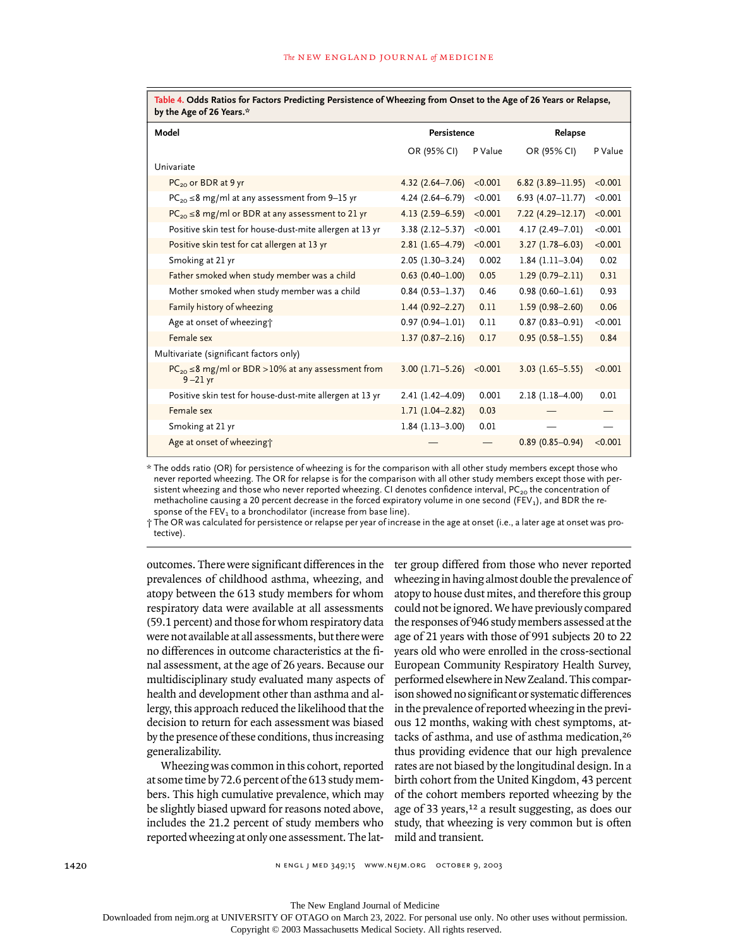| by the Age of 26 Years.*                                                  |                     |         |                      |         |  |  |  |  |
|---------------------------------------------------------------------------|---------------------|---------|----------------------|---------|--|--|--|--|
| Model                                                                     | Persistence         |         | Relapse              |         |  |  |  |  |
|                                                                           | OR (95% CI)         | P Value | OR (95% CI)          | P Value |  |  |  |  |
| Univariate                                                                |                     |         |                      |         |  |  |  |  |
| $PC_{20}$ or BDR at 9 yr                                                  | $4.32(2.64 - 7.06)$ | < 0.001 | $6.82(3.89 - 11.95)$ | < 0.001 |  |  |  |  |
| $PC_{20} \leq 8$ mg/ml at any assessment from 9-15 yr                     | 4.24 (2.64-6.79)    | < 0.001 | $6.93(4.07 - 11.77)$ | < 0.001 |  |  |  |  |
| $PC_{20} \leq 8$ mg/ml or BDR at any assessment to 21 yr                  | $4.13(2.59 - 6.59)$ | < 0.001 | $7.22(4.29 - 12.17)$ | < 0.001 |  |  |  |  |
| Positive skin test for house-dust-mite allergen at 13 yr                  | $3.38(2.12 - 5.37)$ | < 0.001 | 4.17 (2.49-7.01)     | < 0.001 |  |  |  |  |
| Positive skin test for cat allergen at 13 yr                              | $2.81(1.65-4.79)$   | < 0.001 | $3.27(1.78 - 6.03)$  | < 0.001 |  |  |  |  |
| Smoking at 21 yr                                                          | $2.05(1.30-3.24)$   | 0.002   | $1.84(1.11-3.04)$    | 0.02    |  |  |  |  |
| Father smoked when study member was a child                               | $0.63$ (0.40-1.00)  | 0.05    | $1.29(0.79 - 2.11)$  | 0.31    |  |  |  |  |
| Mother smoked when study member was a child                               | $0.84(0.53 - 1.37)$ | 0.46    | $0.98(0.60 - 1.61)$  | 0.93    |  |  |  |  |
| Family history of wheezing                                                | $1.44(0.92 - 2.27)$ | 0.11    | $1.59(0.98 - 2.60)$  | 0.06    |  |  |  |  |
| Age at onset of wheezing?                                                 | $0.97(0.94 - 1.01)$ | 0.11    | $0.87(0.83 - 0.91)$  | < 0.001 |  |  |  |  |
| Female sex                                                                | $1.37(0.87 - 2.16)$ | 0.17    | $0.95(0.58 - 1.55)$  | 0.84    |  |  |  |  |
| Multivariate (significant factors only)                                   |                     |         |                      |         |  |  |  |  |
| $PC_{20} \leq 8$ mg/ml or BDR > 10% at any assessment from<br>$9 - 21$ yr | $3.00(1.71 - 5.26)$ | < 0.001 | $3.03(1.65 - 5.55)$  | < 0.001 |  |  |  |  |
| Positive skin test for house-dust-mite allergen at 13 yr                  | 2.41 (1.42-4.09)    | 0.001   | $2.18(1.18 - 4.00)$  | 0.01    |  |  |  |  |
| Female sex                                                                | $1.71(1.04 - 2.82)$ | 0.03    |                      |         |  |  |  |  |
| Smoking at 21 yr                                                          | $1.84(1.13-3.00)$   | 0.01    |                      |         |  |  |  |  |
| Age at onset of wheezing?                                                 |                     |         | $0.89(0.85 - 0.94)$  | < 0.001 |  |  |  |  |

**Table 4. Odds Ratios for Factors Predicting Persistence of Wheezing from Onset to the Age of 26 Years or Relapse,** 

\* The odds ratio (OR) for persistence of wheezing is for the comparison with all other study members except those who never reported wheezing. The OR for relapse is for the comparison with all other study members except those with persistent wheezing and those who never reported wheezing. CI denotes confidence interval,  $PC_{20}$  the concentration of methacholine causing a 20 percent decrease in the forced expiratory volume in one second (FEV<sub>1</sub>), and BDR the response of the  $FEV<sub>1</sub>$  to a bronchodilator (increase from base line).

† The OR was calculated for persistence or relapse per year of increase in the age at onset (i.e., a later age at onset was protective).

outcomes. There were significant differences in the prevalences of childhood asthma, wheezing, and atopy between the 613 study members for whom respiratory data were available at all assessments (59.1 percent) and those for whom respiratory data were not available at all assessments, but there were no differences in outcome characteristics at the final assessment, at the age of 26 years. Because our multidisciplinary study evaluated many aspects of health and development other than asthma and allergy, this approach reduced the likelihood that the decision to return for each assessment was biased by the presence of these conditions, thus increasing generalizability.

Wheezing was common in this cohort, reported at some time by 72.6 percent of the 613 study members. This high cumulative prevalence, which may be slightly biased upward for reasons noted above, includes the 21.2 percent of study members who reported wheezing at only one assessment. The latter group differed from those who never reported wheezing in having almost double the prevalence of atopy to house dust mites, and therefore this group could not be ignored. We have previously compared the responses of 946 study members assessed at the age of 21 years with those of 991 subjects 20 to 22 years old who were enrolled in the cross-sectional European Community Respiratory Health Survey, performed elsewhere in New Zealand. This comparison showed no significant or systematic differences in the prevalence of reported wheezing in the previous 12 months, waking with chest symptoms, attacks of asthma, and use of asthma medication,<sup>26</sup> thus providing evidence that our high prevalence rates are not biased by the longitudinal design. In a birth cohort from the United Kingdom, 43 percent of the cohort members reported wheezing by the age of 33 years,<sup>12</sup> a result suggesting, as does our study, that wheezing is very common but is often mild and transient.

The New England Journal of Medicine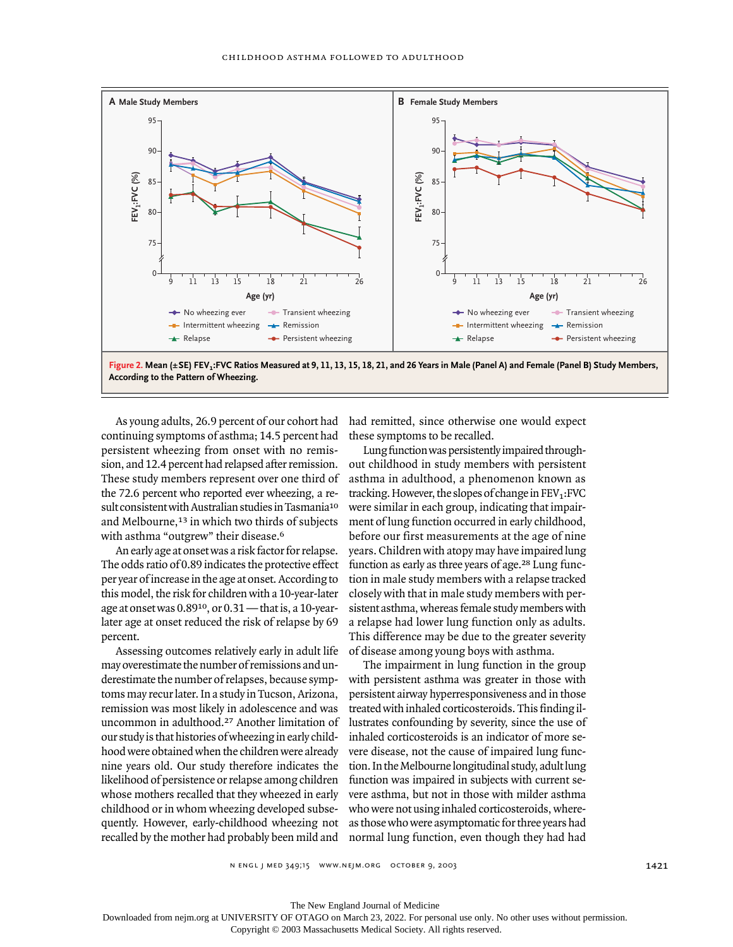

As young adults, 26.9 percent of our cohort had continuing symptoms of asthma; 14.5 percent had persistent wheezing from onset with no remission, and 12.4 percent had relapsed after remission. These study members represent over one third of the 72.6 percent who reported ever wheezing, a result consistent with Australian studies in Tasmania<sup>10</sup> and Melbourne,<sup>13</sup> in which two thirds of subjects with asthma "outgrew" their disease.<sup>6</sup>

An early age at onset was a risk factor for relapse. The odds ratio of 0.89 indicates the protective effect per year of increase in the age at onset. According to this model, the risk for children with a 10-year-later age at onset was 0.8910, or 0.31 — that is, a 10-yearlater age at onset reduced the risk of relapse by 69 percent.

Assessing outcomes relatively early in adult life may overestimate the number of remissions and underestimate the number of relapses, because symptoms may recur later. In a study in Tucson, Arizona, remission was most likely in adolescence and was uncommon in adulthood.27 Another limitation of our study is that histories of wheezing in early childhood were obtained when the children were already nine years old. Our study therefore indicates the likelihood of persistence or relapse among children whose mothers recalled that they wheezed in early childhood or in whom wheezing developed subsequently. However, early-childhood wheezing not recalled by the mother had probably been mild and

had remitted, since otherwise one would expect these symptoms to be recalled.

Lung function was persistently impaired throughout childhood in study members with persistent asthma in adulthood, a phenomenon known as tracking. However, the slopes of change in  $FEV<sub>1</sub>:FVC$ were similar in each group, indicating that impairment of lung function occurred in early childhood, before our first measurements at the age of nine years. Children with atopy may have impaired lung function as early as three years of age.28 Lung function in male study members with a relapse tracked closely with that in male study members with persistent asthma, whereas female study members with a relapse had lower lung function only as adults. This difference may be due to the greater severity of disease among young boys with asthma.

The impairment in lung function in the group with persistent asthma was greater in those with persistent airway hyperresponsiveness and in those treated with inhaled corticosteroids. This finding illustrates confounding by severity, since the use of inhaled corticosteroids is an indicator of more severe disease, not the cause of impaired lung function. In the Melbourne longitudinal study, adult lung function was impaired in subjects with current severe asthma, but not in those with milder asthma who were not using inhaled corticosteroids, whereas those who were asymptomatic for three years had normal lung function, even though they had had

n engl j med 349;15 www.nejm.org october 9, 2003

The New England Journal of Medicine

Downloaded from nejm.org at UNIVERSITY OF OTAGO on March 23, 2022. For personal use only. No other uses without permission.